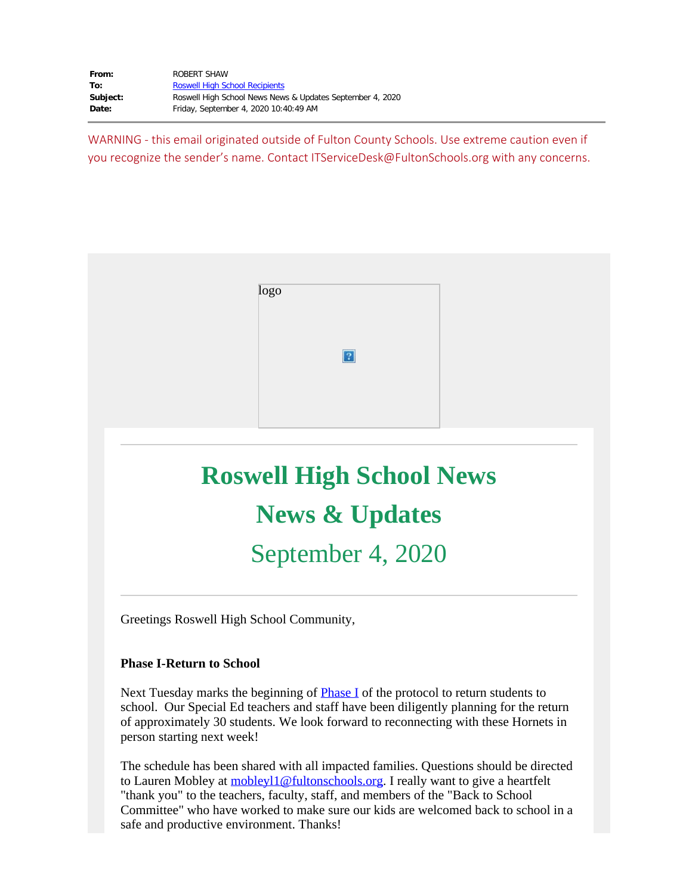| From:    | ROBERT SHAW                                               |
|----------|-----------------------------------------------------------|
| To:      | <b>Roswell High School Recipients</b>                     |
| Subject: | Roswell High School News News & Updates September 4, 2020 |
| Date:    | Friday, September 4, 2020 10:40:49 AM                     |

WARNING - this email originated outside of Fulton County Schools. Use extreme caution even if you recognize the sender's name. Contact ITServiceDesk@FultonSchools.org with any concerns.



# **Roswell High School News News & Updates** September 4, 2020

Greetings Roswell High School Community,

## **Phase I-Return to School**

Next Tuesday marks the beginning of **[Phase](https://www.fultonschools.org/phase1) I** of the protocol to return students to school. Our Special Ed teachers and staff have been diligently planning for the return of approximately 30 students. We look forward to reconnecting with these Hornets in person starting next week!

The schedule has been shared with all impacted families. Questions should be directed to Lauren Mobley at mobley<sup>11@fultonschools.org</sub>. I really want to give a heartfelt</sup> "thank you" to the teachers, faculty, staff, and members of the "Back to School Committee" who have worked to make sure our kids are welcomed back to school in a safe and productive environment. Thanks!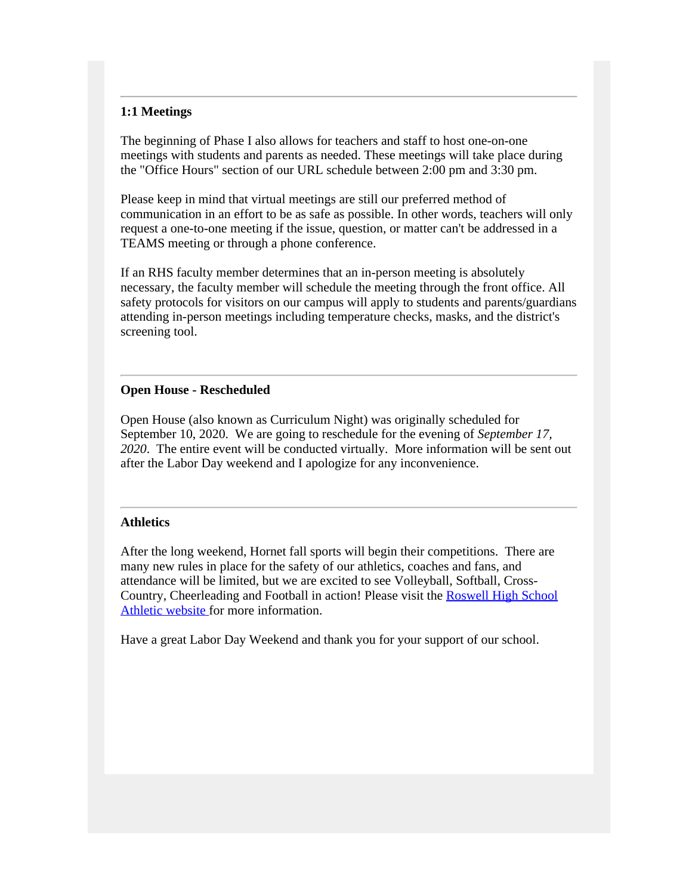## **1:1 Meetings**

The beginning of Phase I also allows for teachers and staff to host one-on-one meetings with students and parents as needed. These meetings will take place during the "Office Hours" section of our URL schedule between 2:00 pm and 3:30 pm.

Please keep in mind that virtual meetings are still our preferred method of communication in an effort to be as safe as possible. In other words, teachers will only request a one-to-one meeting if the issue, question, or matter can't be addressed in a TEAMS meeting or through a phone conference.

If an RHS faculty member determines that an in-person meeting is absolutely necessary, the faculty member will schedule the meeting through the front office. All safety protocols for visitors on our campus will apply to students and parents/guardians attending in-person meetings including temperature checks, masks, and the district's screening tool.

#### **Open House - Rescheduled**

Open House (also known as Curriculum Night) was originally scheduled for September 10, 2020. We are going to reschedule for the evening of *September 17, 2020*. The entire event will be conducted virtually. More information will be sent out after the Labor Day weekend and I apologize for any inconvenience.

#### **Athletics**

After the long weekend, Hornet fall sports will begin their competitions. There are many new rules in place for the safety of our athletics, coaches and fans, and attendance will be limited, but we are excited to see Volleyball, Softball, Cross-Country, Cheerleading and Football in action! Please visit the [Roswell](https://nam03.safelinks.protection.outlook.com/?url=https%3A%2F%2Froswellathletics.org%2F&data=02%7C01%7Cshawr%40fultonschools.org%7Ce36d0fd154a441ec8af808d850e08272%7C0cdcb19881694b70ba9fda7e3ba700c2%7C1%7C0%7C637348272479213391&sdata=sg5YN7Lv1KZwVtJMBABYtwpfpJNAbYb13LEqhFKaXiQ%3D&reserved=0) High School [Athletic](https://nam03.safelinks.protection.outlook.com/?url=https%3A%2F%2Froswellathletics.org%2F&data=02%7C01%7Cshawr%40fultonschools.org%7Ce36d0fd154a441ec8af808d850e08272%7C0cdcb19881694b70ba9fda7e3ba700c2%7C1%7C0%7C637348272479213391&sdata=sg5YN7Lv1KZwVtJMBABYtwpfpJNAbYb13LEqhFKaXiQ%3D&reserved=0) website for more information.

Have a great Labor Day Weekend and thank you for your support of our school.